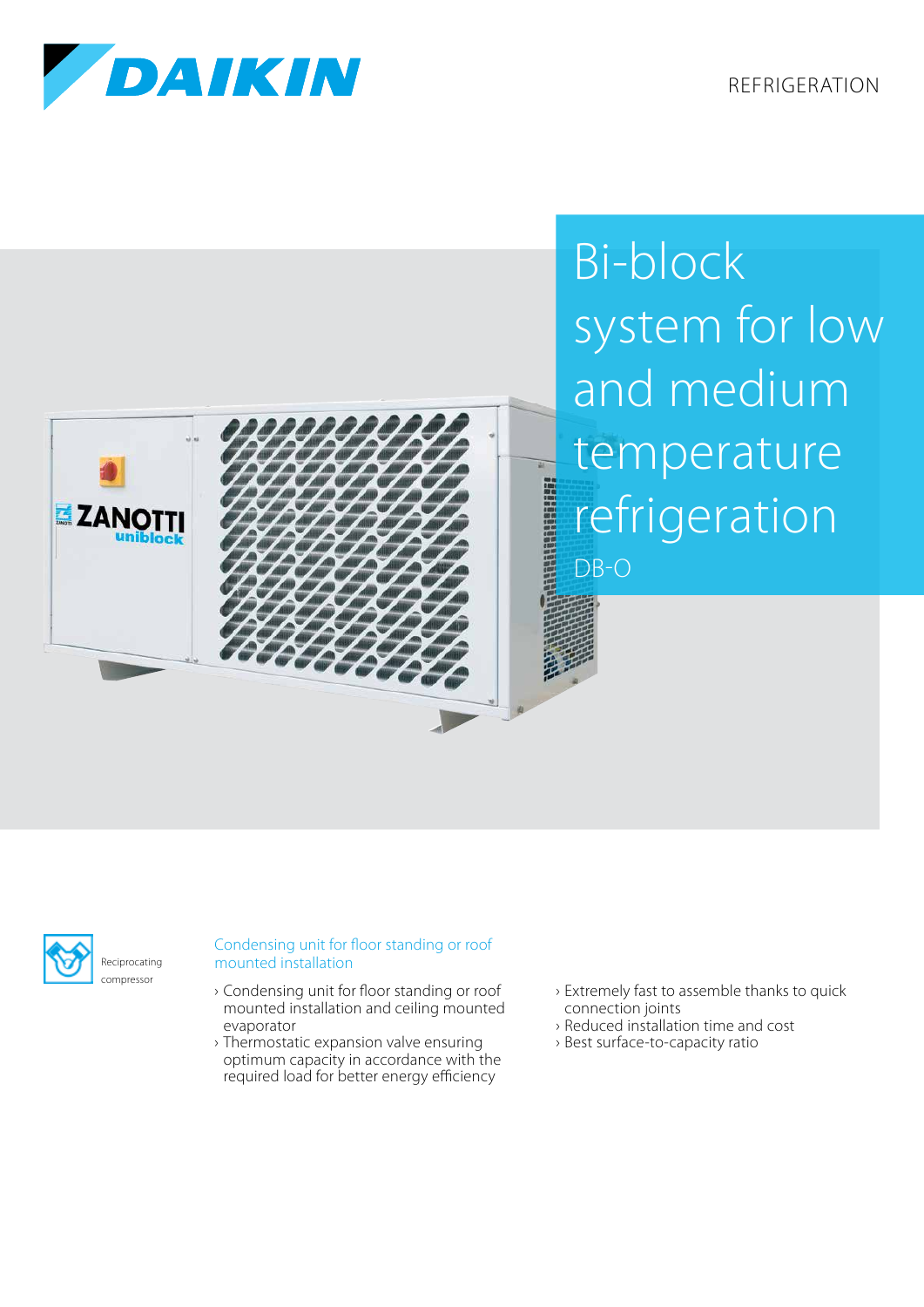REFRIGERATION







## Bi-block system for low and medium temperature refrigeration



## Condensing unit for floor standing or roof mounted installation

- › Condensing unit for floor standing or roof mounted installation and ceiling mounted evaporator
- › Thermostatic expansion valve ensuring optimum capacity in accordance with the required load for better energy efficiency
- › Extremely fast to assemble thanks to quick connection joints
- › Reduced installation time and cost
- › Best surface-to-capacity ratio